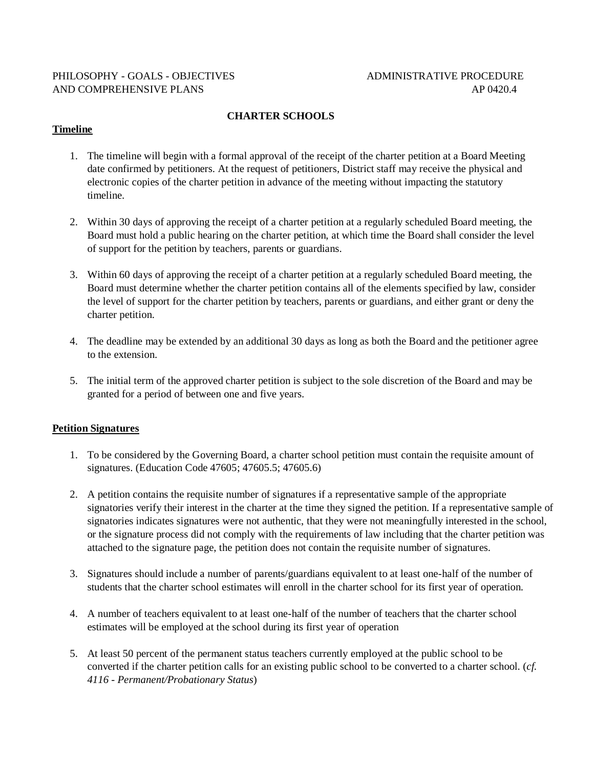## PHILOSOPHY - GOALS - OBJECTIVES ADMINISTRATIVE PROCEDURE AND COMPREHENSIVE PLANS AP 0420.4

#### **CHARTER SCHOOLS**

### **Timeline**

- 1. The timeline will begin with a formal approval of the receipt of the charter petition at a Board Meeting date confirmed by petitioners. At the request of petitioners, District staff may receive the physical and electronic copies of the charter petition in advance of the meeting without impacting the statutory timeline.
- 2. Within 30 days of approving the receipt of a charter petition at a regularly scheduled Board meeting, the Board must hold a public hearing on the charter petition, at which time the Board shall consider the level of support for the petition by teachers, parents or guardians.
- 3. Within 60 days of approving the receipt of a charter petition at a regularly scheduled Board meeting, the Board must determine whether the charter petition contains all of the elements specified by law, consider the level of support for the charter petition by teachers, parents or guardians, and either grant or deny the charter petition.
- 4. The deadline may be extended by an additional 30 days as long as both the Board and the petitioner agree to the extension.
- 5. The initial term of the approved charter petition is subject to the sole discretion of the Board and may be granted for a period of between one and five years.

#### **Petition Signatures**

- 1. To be considered by the Governing Board, a charter school petition must contain the requisite amount of signatures. (Education Code 47605; 47605.5; 47605.6)
- 2. A petition contains the requisite number of signatures if a representative sample of the appropriate signatories verify their interest in the charter at the time they signed the petition. If a representative sample of signatories indicates signatures were not authentic, that they were not meaningfully interested in the school, or the signature process did not comply with the requirements of law including that the charter petition was attached to the signature page, the petition does not contain the requisite number of signatures.
- 3. Signatures should include a number of parents/guardians equivalent to at least one-half of the number of students that the charter school estimates will enroll in the charter school for its first year of operation.
- 4. A number of teachers equivalent to at least one-half of the number of teachers that the charter school estimates will be employed at the school during its first year of operation
- 5. At least 50 percent of the permanent status teachers currently employed at the public school to be converted if the charter petition calls for an existing public school to be converted to a charter school. (*cf. 4116 - Permanent/Probationary Status*)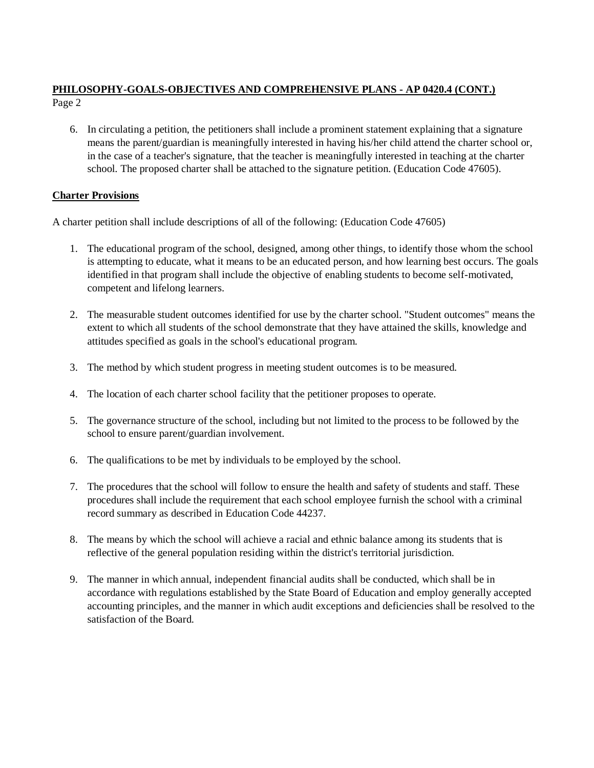6. In circulating a petition, the petitioners shall include a prominent statement explaining that a signature means the parent/guardian is meaningfully interested in having his/her child attend the charter school or, in the case of a teacher's signature, that the teacher is meaningfully interested in teaching at the charter school. The proposed charter shall be attached to the signature petition. (Education Code 47605).

# **Charter Provisions**

A charter petition shall include descriptions of all of the following: (Education Code 47605)

- 1. The educational program of the school, designed, among other things, to identify those whom the school is attempting to educate, what it means to be an educated person, and how learning best occurs. The goals identified in that program shall include the objective of enabling students to become self-motivated, competent and lifelong learners.
- 2. The measurable student outcomes identified for use by the charter school. "Student outcomes" means the extent to which all students of the school demonstrate that they have attained the skills, knowledge and attitudes specified as goals in the school's educational program.
- 3. The method by which student progress in meeting student outcomes is to be measured.
- 4. The location of each charter school facility that the petitioner proposes to operate.
- 5. The governance structure of the school, including but not limited to the process to be followed by the school to ensure parent/guardian involvement.
- 6. The qualifications to be met by individuals to be employed by the school.
- 7. The procedures that the school will follow to ensure the health and safety of students and staff. These procedures shall include the requirement that each school employee furnish the school with a criminal record summary as described in Education Code 44237.
- 8. The means by which the school will achieve a racial and ethnic balance among its students that is reflective of the general population residing within the district's territorial jurisdiction.
- 9. The manner in which annual, independent financial audits shall be conducted, which shall be in accordance with regulations established by the State Board of Education and employ generally accepted accounting principles, and the manner in which audit exceptions and deficiencies shall be resolved to the satisfaction of the Board.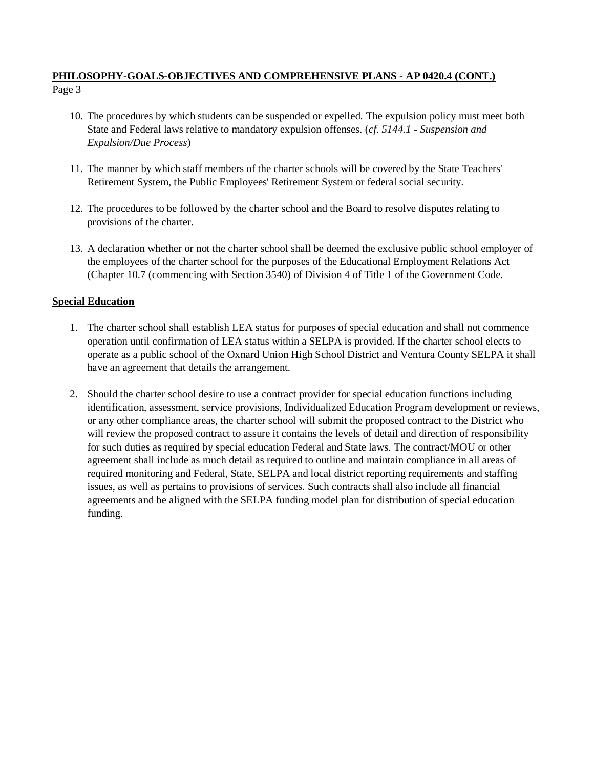- 10. The procedures by which students can be suspended or expelled. The expulsion policy must meet both State and Federal laws relative to mandatory expulsion offenses. (*cf. 5144.1 - Suspension and Expulsion/Due Process*)
- 11. The manner by which staff members of the charter schools will be covered by the State Teachers' Retirement System, the Public Employees' Retirement System or federal social security.
- 12. The procedures to be followed by the charter school and the Board to resolve disputes relating to provisions of the charter.
- 13. A declaration whether or not the charter school shall be deemed the exclusive public school employer of the employees of the charter school for the purposes of the Educational Employment Relations Act (Chapter 10.7 (commencing with Section 3540) of Division 4 of Title 1 of the Government Code.

# **Special Education**

- 1. The charter school shall establish LEA status for purposes of special education and shall not commence operation until confirmation of LEA status within a SELPA is provided. If the charter school elects to operate as a public school of the Oxnard Union High School District and Ventura County SELPA it shall have an agreement that details the arrangement.
- 2. Should the charter school desire to use a contract provider for special education functions including identification, assessment, service provisions, Individualized Education Program development or reviews, or any other compliance areas, the charter school will submit the proposed contract to the District who will review the proposed contract to assure it contains the levels of detail and direction of responsibility for such duties as required by special education Federal and State laws. The contract/MOU or other agreement shall include as much detail as required to outline and maintain compliance in all areas of required monitoring and Federal, State, SELPA and local district reporting requirements and staffing issues, as well as pertains to provisions of services. Such contracts shall also include all financial agreements and be aligned with the SELPA funding model plan for distribution of special education funding.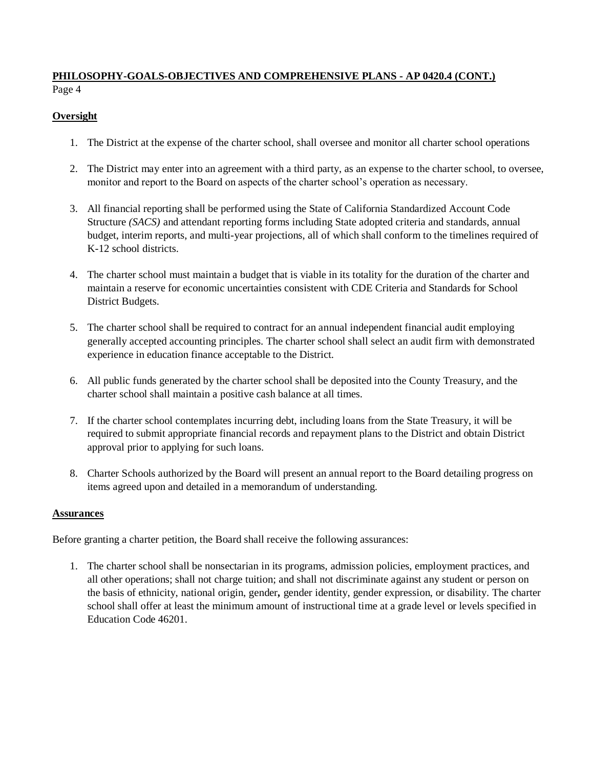# **Oversight**

- 1. The District at the expense of the charter school, shall oversee and monitor all charter school operations
- 2. The District may enter into an agreement with a third party, as an expense to the charter school, to oversee, monitor and report to the Board on aspects of the charter school's operation as necessary.
- 3. All financial reporting shall be performed using the State of California Standardized Account Code Structure *(SACS)* and attendant reporting forms including State adopted criteria and standards, annual budget, interim reports, and multi-year projections, all of which shall conform to the timelines required of K-12 school districts.
- 4. The charter school must maintain a budget that is viable in its totality for the duration of the charter and maintain a reserve for economic uncertainties consistent with CDE Criteria and Standards for School District Budgets.
- 5. The charter school shall be required to contract for an annual independent financial audit employing generally accepted accounting principles. The charter school shall select an audit firm with demonstrated experience in education finance acceptable to the District.
- 6. All public funds generated by the charter school shall be deposited into the County Treasury, and the charter school shall maintain a positive cash balance at all times.
- 7. If the charter school contemplates incurring debt, including loans from the State Treasury, it will be required to submit appropriate financial records and repayment plans to the District and obtain District approval prior to applying for such loans.
- 8. Charter Schools authorized by the Board will present an annual report to the Board detailing progress on items agreed upon and detailed in a memorandum of understanding.

## **Assurances**

Before granting a charter petition, the Board shall receive the following assurances:

1. The charter school shall be nonsectarian in its programs, admission policies, employment practices, and all other operations; shall not charge tuition; and shall not discriminate against any student or person on the basis of ethnicity, national origin, gender*,* gender identity, gender expression, or disability. The charter school shall offer at least the minimum amount of instructional time at a grade level or levels specified in Education Code 46201.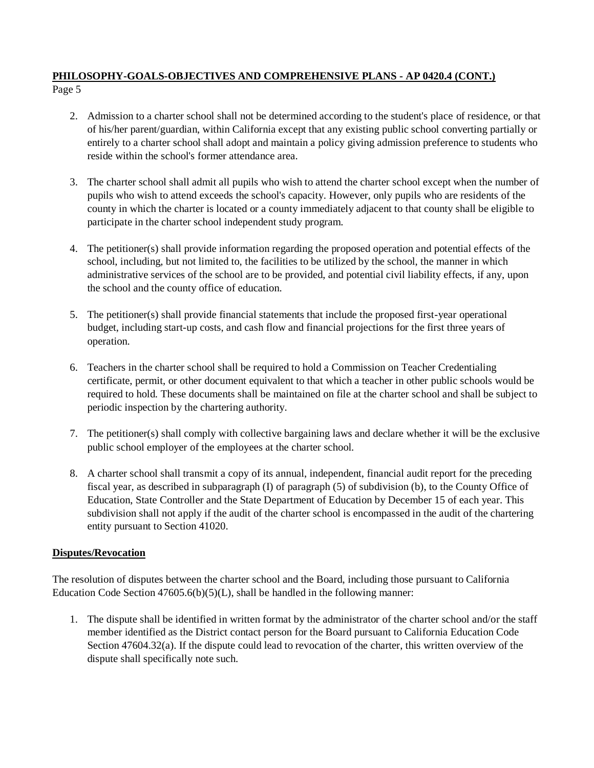- 2. Admission to a charter school shall not be determined according to the student's place of residence, or that of his/her parent/guardian, within California except that any existing public school converting partially or entirely to a charter school shall adopt and maintain a policy giving admission preference to students who reside within the school's former attendance area.
- 3. The charter school shall admit all pupils who wish to attend the charter school except when the number of pupils who wish to attend exceeds the school's capacity. However, only pupils who are residents of the county in which the charter is located or a county immediately adjacent to that county shall be eligible to participate in the charter school independent study program.
- 4. The petitioner(s) shall provide information regarding the proposed operation and potential effects of the school, including, but not limited to, the facilities to be utilized by the school, the manner in which administrative services of the school are to be provided, and potential civil liability effects, if any, upon the school and the county office of education.
- 5. The petitioner(s) shall provide financial statements that include the proposed first-year operational budget, including start-up costs, and cash flow and financial projections for the first three years of operation.
- 6. Teachers in the charter school shall be required to hold a Commission on Teacher Credentialing certificate, permit, or other document equivalent to that which a teacher in other public schools would be required to hold. These documents shall be maintained on file at the charter school and shall be subject to periodic inspection by the chartering authority.
- 7. The petitioner(s) shall comply with collective bargaining laws and declare whether it will be the exclusive public school employer of the employees at the charter school.
- 8. A charter school shall transmit a copy of its annual, independent, financial audit report for the preceding fiscal year, as described in subparagraph (I) of paragraph (5) of subdivision (b), to the County Office of Education, State Controller and the State Department of Education by December 15 of each year. This subdivision shall not apply if the audit of the charter school is encompassed in the audit of the chartering entity pursuant to Section 41020.

## **Disputes/Revocation**

The resolution of disputes between the charter school and the Board, including those pursuant to California Education Code Section  $47605.6(b)(5)(L)$ , shall be handled in the following manner:

1. The dispute shall be identified in written format by the administrator of the charter school and/or the staff member identified as the District contact person for the Board pursuant to California Education Code Section 47604.32(a). If the dispute could lead to revocation of the charter, this written overview of the dispute shall specifically note such.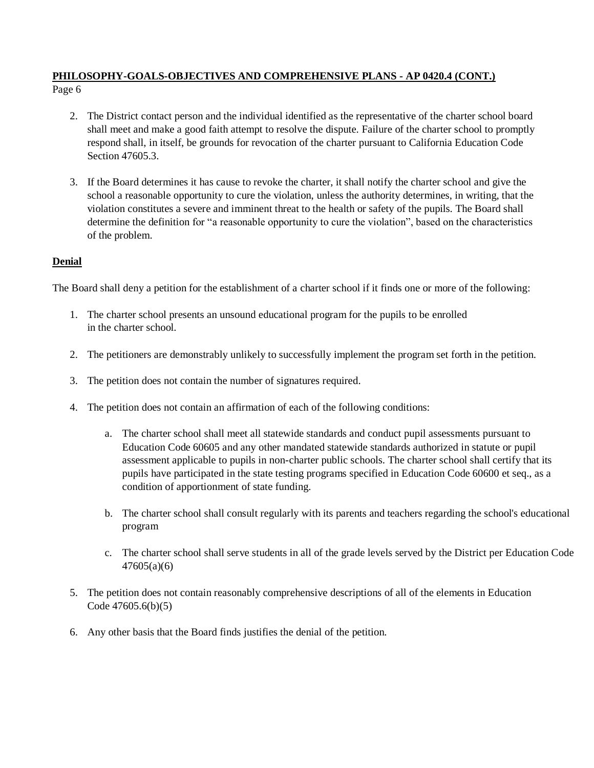- 2. The District contact person and the individual identified as the representative of the charter school board shall meet and make a good faith attempt to resolve the dispute. Failure of the charter school to promptly respond shall, in itself, be grounds for revocation of the charter pursuant to California Education Code Section 47605.3.
- 3. If the Board determines it has cause to revoke the charter, it shall notify the charter school and give the school a reasonable opportunity to cure the violation, unless the authority determines, in writing, that the violation constitutes a severe and imminent threat to the health or safety of the pupils. The Board shall determine the definition for "a reasonable opportunity to cure the violation", based on the characteristics of the problem.

# **Denial**

The Board shall deny a petition for the establishment of a charter school if it finds one or more of the following:

- 1. The charter school presents an unsound educational program for the pupils to be enrolled in the charter school.
- 2. The petitioners are demonstrably unlikely to successfully implement the program set forth in the petition.
- 3. The petition does not contain the number of signatures required.
- 4. The petition does not contain an affirmation of each of the following conditions:
	- a. The charter school shall meet all statewide standards and conduct pupil assessments pursuant to Education Code 60605 and any other mandated statewide standards authorized in statute or pupil assessment applicable to pupils in non-charter public schools. The charter school shall certify that its pupils have participated in the state testing programs specified in Education Code 60600 et seq., as a condition of apportionment of state funding.
	- b. The charter school shall consult regularly with its parents and teachers regarding the school's educational program
	- c. The charter school shall serve students in all of the grade levels served by the District per Education Code 47605(a)(6)
- 5. The petition does not contain reasonably comprehensive descriptions of all of the elements in Education Code 47605.6(b)(5)
- 6. Any other basis that the Board finds justifies the denial of the petition.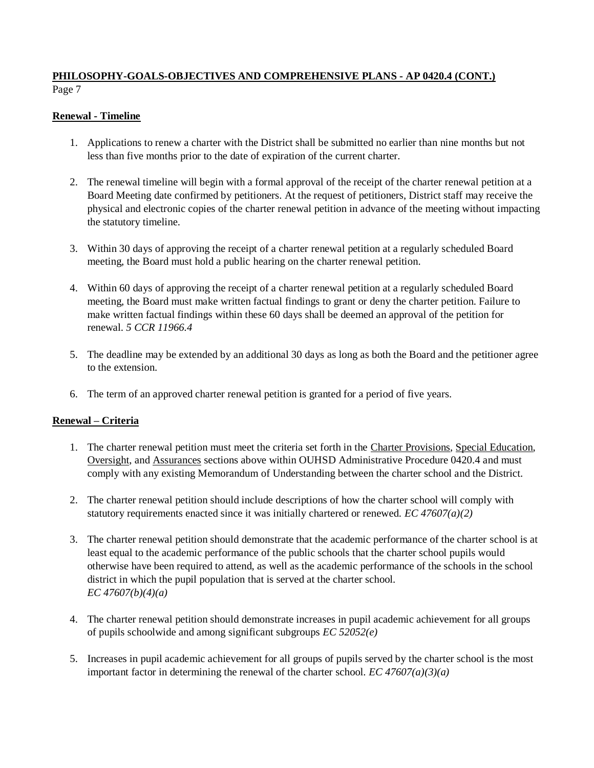## **Renewal - Timeline**

- 1. Applications to renew a charter with the District shall be submitted no earlier than nine months but not less than five months prior to the date of expiration of the current charter.
- 2. The renewal timeline will begin with a formal approval of the receipt of the charter renewal petition at a Board Meeting date confirmed by petitioners. At the request of petitioners, District staff may receive the physical and electronic copies of the charter renewal petition in advance of the meeting without impacting the statutory timeline.
- 3. Within 30 days of approving the receipt of a charter renewal petition at a regularly scheduled Board meeting, the Board must hold a public hearing on the charter renewal petition.
- 4. Within 60 days of approving the receipt of a charter renewal petition at a regularly scheduled Board meeting, the Board must make written factual findings to grant or deny the charter petition. Failure to make written factual findings within these 60 days shall be deemed an approval of the petition for renewal. *5 CCR 11966.4*
- 5. The deadline may be extended by an additional 30 days as long as both the Board and the petitioner agree to the extension.
- 6. The term of an approved charter renewal petition is granted for a period of five years.

## **Renewal – Criteria**

- 1. The charter renewal petition must meet the criteria set forth in the Charter Provisions, Special Education, Oversight, and Assurances sections above within OUHSD Administrative Procedure 0420.4 and must comply with any existing Memorandum of Understanding between the charter school and the District.
- 2. The charter renewal petition should include descriptions of how the charter school will comply with statutory requirements enacted since it was initially chartered or renewed. *EC 47607(a)(2)*
- 3. The charter renewal petition should demonstrate that the academic performance of the charter school is at least equal to the academic performance of the public schools that the charter school pupils would otherwise have been required to attend, as well as the academic performance of the schools in the school district in which the pupil population that is served at the charter school. *EC 47607(b)(4)(a)*
- 4. The charter renewal petition should demonstrate increases in pupil academic achievement for all groups of pupils schoolwide and among significant subgroups *EC 52052(e)*
- 5. Increases in pupil academic achievement for all groups of pupils served by the charter school is the most important factor in determining the renewal of the charter school. *EC 47607(a)(3)(a)*